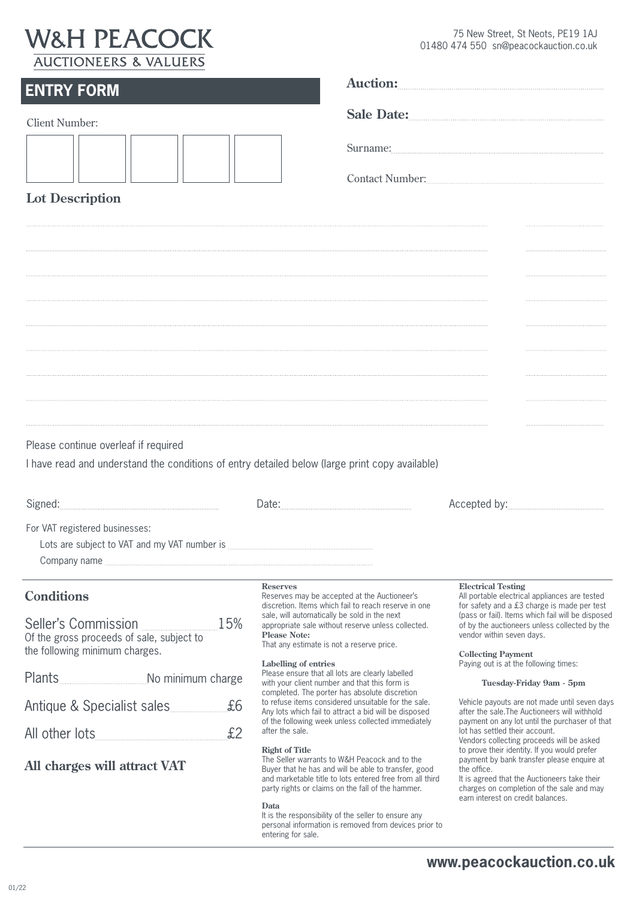## **W&H PEACOCK** ALICTIONEERS & VALUERS

75 New Street, St Neots, PE19 1AJ 01480 474 550 sn@peacockauction.co.uk

| <b>ENTRY FORM</b>                                                                                                                                                                                                          |                                                                                                                                                                                                                                                                                                                                                                                                                                                                                                                                                                                                                                                                                                                                                                                                                                                                                                                                                                                                                                                                            | Auction:                                                                                                                                                                                                                                                                                                                                                                                                                                                                                                                                                                                                                                                                                                                                                                                                                                         |
|----------------------------------------------------------------------------------------------------------------------------------------------------------------------------------------------------------------------------|----------------------------------------------------------------------------------------------------------------------------------------------------------------------------------------------------------------------------------------------------------------------------------------------------------------------------------------------------------------------------------------------------------------------------------------------------------------------------------------------------------------------------------------------------------------------------------------------------------------------------------------------------------------------------------------------------------------------------------------------------------------------------------------------------------------------------------------------------------------------------------------------------------------------------------------------------------------------------------------------------------------------------------------------------------------------------|--------------------------------------------------------------------------------------------------------------------------------------------------------------------------------------------------------------------------------------------------------------------------------------------------------------------------------------------------------------------------------------------------------------------------------------------------------------------------------------------------------------------------------------------------------------------------------------------------------------------------------------------------------------------------------------------------------------------------------------------------------------------------------------------------------------------------------------------------|
|                                                                                                                                                                                                                            |                                                                                                                                                                                                                                                                                                                                                                                                                                                                                                                                                                                                                                                                                                                                                                                                                                                                                                                                                                                                                                                                            | Sale Date:                                                                                                                                                                                                                                                                                                                                                                                                                                                                                                                                                                                                                                                                                                                                                                                                                                       |
| <b>Client Number:</b>                                                                                                                                                                                                      |                                                                                                                                                                                                                                                                                                                                                                                                                                                                                                                                                                                                                                                                                                                                                                                                                                                                                                                                                                                                                                                                            | Contact Number:                                                                                                                                                                                                                                                                                                                                                                                                                                                                                                                                                                                                                                                                                                                                                                                                                                  |
| <b>Lot Description</b>                                                                                                                                                                                                     |                                                                                                                                                                                                                                                                                                                                                                                                                                                                                                                                                                                                                                                                                                                                                                                                                                                                                                                                                                                                                                                                            |                                                                                                                                                                                                                                                                                                                                                                                                                                                                                                                                                                                                                                                                                                                                                                                                                                                  |
| Please continue overleaf if required<br>I have read and understand the conditions of entry detailed below (large print copy available)<br>For VAT registered businesses:                                                   |                                                                                                                                                                                                                                                                                                                                                                                                                                                                                                                                                                                                                                                                                                                                                                                                                                                                                                                                                                                                                                                                            |                                                                                                                                                                                                                                                                                                                                                                                                                                                                                                                                                                                                                                                                                                                                                                                                                                                  |
| <b>Conditions</b><br>15%<br>Seller's Commission<br>Of the gross proceeds of sale, subject to<br>the following minimum charges.<br>£6<br>Antique & Specialist sales<br>£2<br>All other lots<br>All charges will attract VAT | <b>Reserves</b><br>Reserves may be accepted at the Auctioneer's<br>discretion. Items which fail to reach reserve in one<br>sale, will automatically be sold in the next<br>appropriate sale without reserve unless collected.<br><b>Please Note:</b><br>That any estimate is not a reserve price.<br>Labelling of entries<br>Please ensure that all lots are clearly labelled<br>with your client number and that this form is<br>completed. The porter has absolute discretion<br>to refuse items considered unsuitable for the sale.<br>Any lots which fail to attract a bid will be disposed<br>of the following week unless collected immediately<br>after the sale.<br><b>Right of Title</b><br>The Seller warrants to W&H Peacock and to the<br>Buyer that he has and will be able to transfer, good<br>and marketable title to lots entered free from all third<br>party rights or claims on the fall of the hammer.<br>Data<br>It is the responsibility of the seller to ensure any<br>personal information is removed from devices prior to<br>entering for sale. | <b>Electrical Testing</b><br>All portable electrical appliances are tested<br>for safety and a £3 charge is made per test<br>(pass or fail). Items which fail will be disposed<br>of by the auctioneers unless collected by the<br>vendor within seven days.<br><b>Collecting Payment</b><br>Paying out is at the following times:<br>Tuesday-Friday 9am - 5pm<br>Vehicle payouts are not made until seven days<br>after the sale. The Auctioneers will withhold<br>payment on any lot until the purchaser of that<br>lot has settled their account.<br>Vendors collecting proceeds will be asked<br>to prove their identity. If you would prefer<br>payment by bank transfer please enquire at<br>the office.<br>It is agreed that the Auctioneers take their<br>charges on completion of the sale and may<br>earn interest on credit balances. |